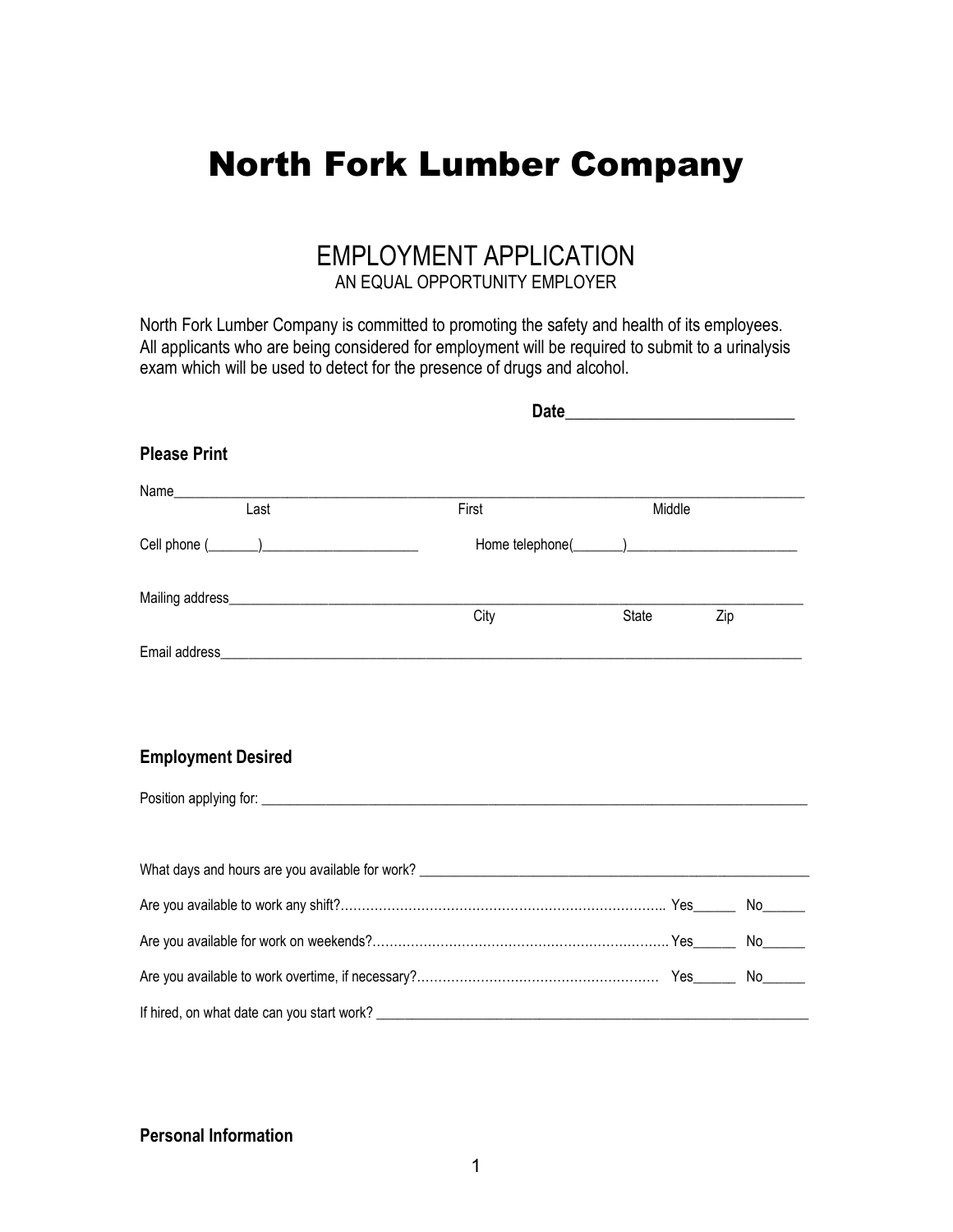# North Fork Lumber Company

## EMPLOYMENT APPLICATION AN EQUAL OPPORTUNITY EMPLOYER

North Fork Lumber Company is committed to promoting the safety and health of its employees. All applicants who are being considered for employment will be required to submit to a urinalysis exam which will be used to detect for the presence of drugs and alcohol.

| <b>Please Print</b>                        |       |        |     |  |
|--------------------------------------------|-------|--------|-----|--|
|                                            |       |        |     |  |
| Last                                       | First | Middle |     |  |
|                                            |       |        |     |  |
|                                            |       |        |     |  |
|                                            | City  | State  | Zip |  |
|                                            |       |        |     |  |
| <b>Employment Desired</b>                  |       |        |     |  |
|                                            |       |        |     |  |
|                                            |       |        |     |  |
|                                            |       |        |     |  |
|                                            |       |        |     |  |
|                                            |       |        |     |  |
| If hired, on what date can you start work? |       |        |     |  |

#### Personal Information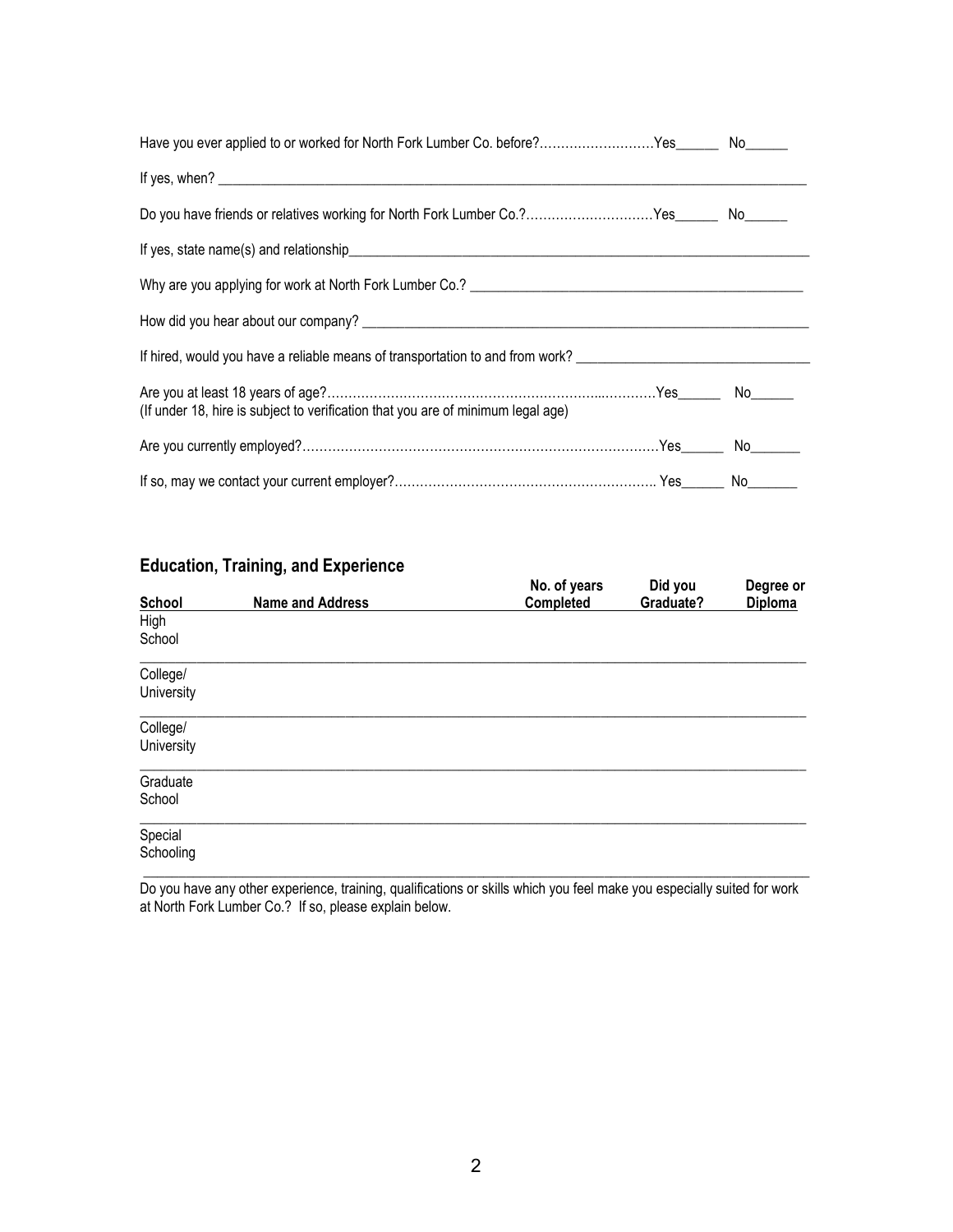| Have you ever applied to or worked for North Fork Lumber Co. before?Yes_______ No______                       |  |
|---------------------------------------------------------------------------------------------------------------|--|
|                                                                                                               |  |
| Do you have friends or relatives working for North Fork Lumber Co.?Yes________ No______                       |  |
|                                                                                                               |  |
|                                                                                                               |  |
|                                                                                                               |  |
| If hired, would you have a reliable means of transportation to and from work? _______________________________ |  |
| (If under 18, hire is subject to verification that you are of minimum legal age)                              |  |
|                                                                                                               |  |
|                                                                                                               |  |

### Education, Training, and Experience

|            |                         | No. of years | Did you   | Degree or      |
|------------|-------------------------|--------------|-----------|----------------|
| School     | <b>Name and Address</b> | Completed    | Graduate? | <b>Diploma</b> |
| High       |                         |              |           |                |
| School     |                         |              |           |                |
| College/   |                         |              |           |                |
| University |                         |              |           |                |
| College/   |                         |              |           |                |
| University |                         |              |           |                |
| Graduate   |                         |              |           |                |
| School     |                         |              |           |                |
| Special    |                         |              |           |                |
| Schooling  |                         |              |           |                |
|            |                         |              |           |                |

Do you have any other experience, training, qualifications or skills which you feel make you especially suited for work at North Fork Lumber Co.? If so, please explain below.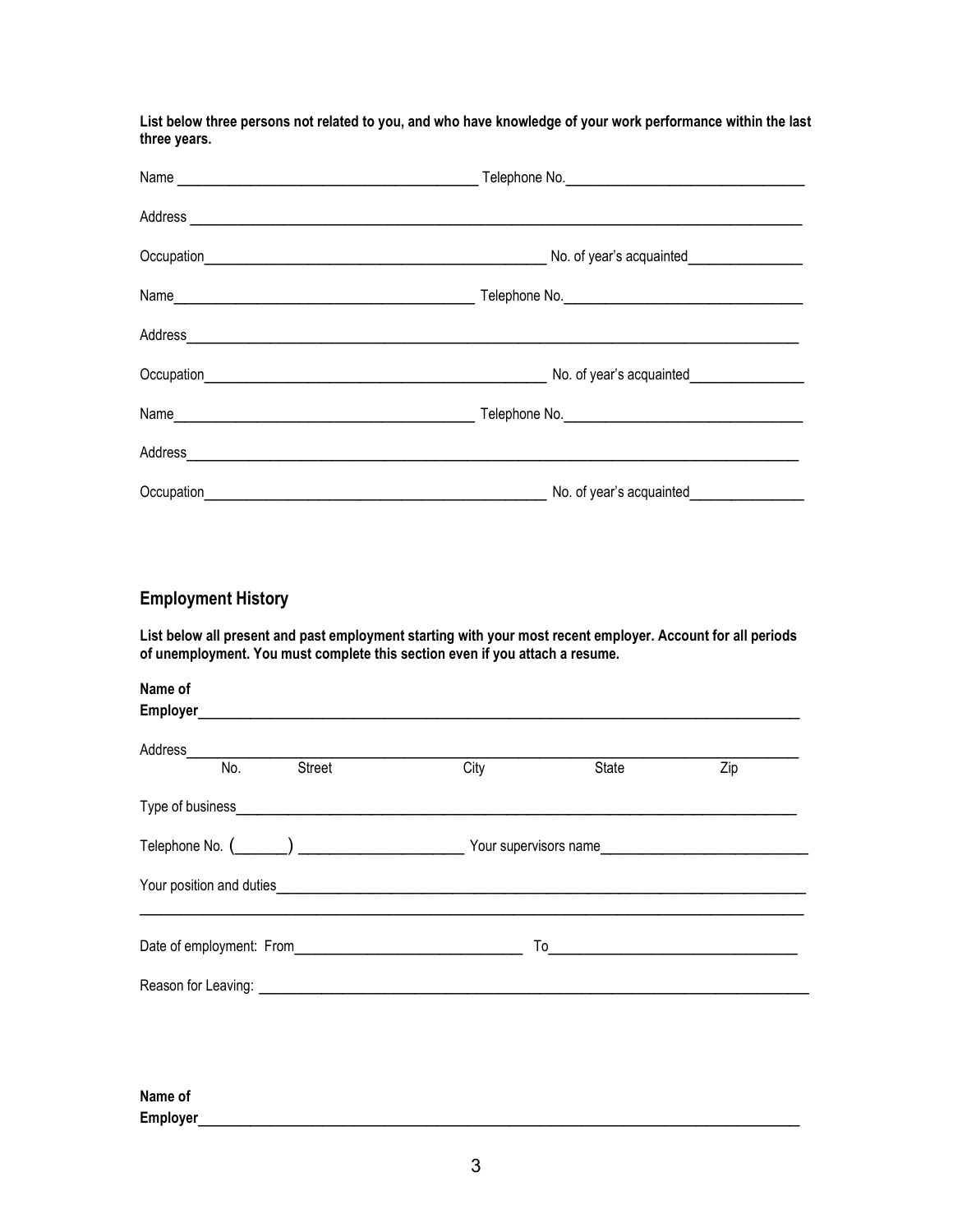List below three persons not related to you, and who have knowledge of your work performance within the last three years.

| Occupation No. of year's acquainted No. of year's acquainted No. of year's acquainted |                          |  |
|---------------------------------------------------------------------------------------|--------------------------|--|
|                                                                                       |                          |  |
| Address                                                                               |                          |  |
| Occupation                                                                            | No. of year's acquainted |  |

#### Employment History

List below all present and past employment starting with your most recent employer. Account for all periods of unemployment. You must complete this section even if you attach a resume.

| Name of                                                                                                        |                       |       |     |
|----------------------------------------------------------------------------------------------------------------|-----------------------|-------|-----|
| Employer                                                                                                       |                       |       |     |
| Address                                                                                                        |                       |       |     |
| <b>Street</b><br>No.                                                                                           | City                  | State | Zip |
| Type of business Type of business                                                                              |                       |       |     |
|                                                                                                                | Your supervisors name |       |     |
| Your position and duties                                                                                       |                       |       |     |
| Date of employment: From                                                                                       | To                    |       |     |
| Reason for Leaving: Note that the set of the set of the set of the set of the set of the set of the set of the |                       |       |     |
|                                                                                                                |                       |       |     |
|                                                                                                                |                       |       |     |

Name of Employer\_\_\_\_\_\_\_\_\_\_\_\_\_\_\_\_\_\_\_\_\_\_\_\_\_\_\_\_\_\_\_\_\_\_\_\_\_\_\_\_\_\_\_\_\_\_\_\_\_\_\_\_\_\_\_\_\_\_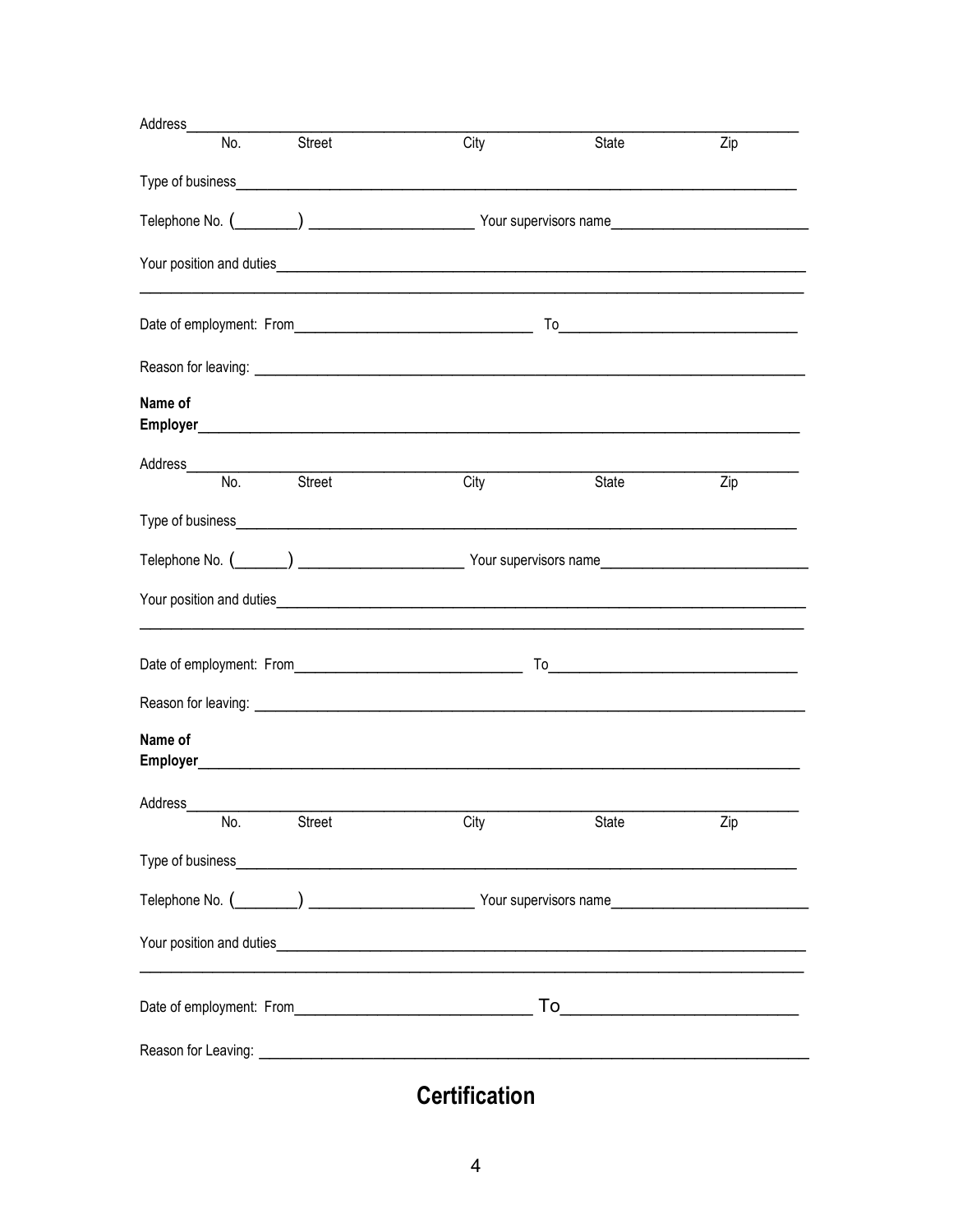| Address                         |                                                                                                                                                                                                                                                                                                                                                                                                                                                                                    |       |     |  |
|---------------------------------|------------------------------------------------------------------------------------------------------------------------------------------------------------------------------------------------------------------------------------------------------------------------------------------------------------------------------------------------------------------------------------------------------------------------------------------------------------------------------------|-------|-----|--|
| No.<br>Street                   | City                                                                                                                                                                                                                                                                                                                                                                                                                                                                               | State | Zip |  |
|                                 |                                                                                                                                                                                                                                                                                                                                                                                                                                                                                    |       |     |  |
|                                 |                                                                                                                                                                                                                                                                                                                                                                                                                                                                                    |       |     |  |
|                                 |                                                                                                                                                                                                                                                                                                                                                                                                                                                                                    |       |     |  |
|                                 | $To \begin{tabular}{ccccc} \multicolumn{3}{c}{} & \multicolumn{3}{c}{} & \multicolumn{3}{c}{} & \multicolumn{3}{c}{} & \multicolumn{3}{c}{} & \multicolumn{3}{c}{} & \multicolumn{3}{c}{} & \multicolumn{3}{c}{} & \multicolumn{3}{c}{} & \multicolumn{3}{c}{} & \multicolumn{3}{c}{} & \multicolumn{3}{c}{} & \multicolumn{3}{c}{} & \multicolumn{3}{c}{} & \multicolumn{3}{c}{} & \multicolumn{3}{c}{} & \multicolumn{3}{c}{} & \multicolumn{3}{c}{} & \multicolumn{3}{c}{} & \$ |       |     |  |
|                                 |                                                                                                                                                                                                                                                                                                                                                                                                                                                                                    |       |     |  |
| Name of                         |                                                                                                                                                                                                                                                                                                                                                                                                                                                                                    |       |     |  |
| Address<br>Street<br>No.        | City                                                                                                                                                                                                                                                                                                                                                                                                                                                                               | State | Zip |  |
|                                 |                                                                                                                                                                                                                                                                                                                                                                                                                                                                                    |       |     |  |
|                                 |                                                                                                                                                                                                                                                                                                                                                                                                                                                                                    |       |     |  |
| Your position and duties        |                                                                                                                                                                                                                                                                                                                                                                                                                                                                                    |       |     |  |
|                                 |                                                                                                                                                                                                                                                                                                                                                                                                                                                                                    |       |     |  |
|                                 |                                                                                                                                                                                                                                                                                                                                                                                                                                                                                    |       |     |  |
| Name of                         |                                                                                                                                                                                                                                                                                                                                                                                                                                                                                    |       |     |  |
| Address<br>o. Street Cit<br>No. | City                                                                                                                                                                                                                                                                                                                                                                                                                                                                               | State | Zip |  |
|                                 |                                                                                                                                                                                                                                                                                                                                                                                                                                                                                    |       |     |  |
|                                 |                                                                                                                                                                                                                                                                                                                                                                                                                                                                                    |       |     |  |
|                                 |                                                                                                                                                                                                                                                                                                                                                                                                                                                                                    |       |     |  |
|                                 |                                                                                                                                                                                                                                                                                                                                                                                                                                                                                    |       |     |  |
|                                 |                                                                                                                                                                                                                                                                                                                                                                                                                                                                                    |       |     |  |

**Certification**